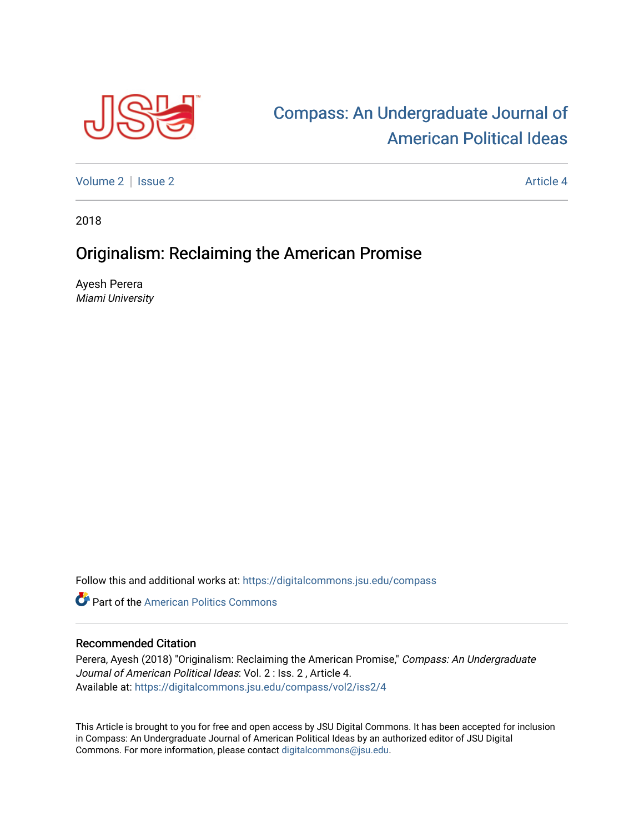

## [Compass: An Undergraduate Journal of](https://digitalcommons.jsu.edu/compass)  [American Political Ideas](https://digitalcommons.jsu.edu/compass)

[Volume 2](https://digitalcommons.jsu.edu/compass/vol2) | [Issue 2](https://digitalcommons.jsu.edu/compass/vol2/iss2) Article 4

2018

## Originalism: Reclaiming the American Promise

Ayesh Perera Miami University

Follow this and additional works at: [https://digitalcommons.jsu.edu/compass](https://digitalcommons.jsu.edu/compass?utm_source=digitalcommons.jsu.edu%2Fcompass%2Fvol2%2Fiss2%2F4&utm_medium=PDF&utm_campaign=PDFCoverPages)

**Part of the American Politics Commons** 

## Recommended Citation

Perera, Ayesh (2018) "Originalism: Reclaiming the American Promise," Compass: An Undergraduate Journal of American Political Ideas: Vol. 2 : Iss. 2 , Article 4. Available at: [https://digitalcommons.jsu.edu/compass/vol2/iss2/4](https://digitalcommons.jsu.edu/compass/vol2/iss2/4?utm_source=digitalcommons.jsu.edu%2Fcompass%2Fvol2%2Fiss2%2F4&utm_medium=PDF&utm_campaign=PDFCoverPages)

This Article is brought to you for free and open access by JSU Digital Commons. It has been accepted for inclusion in Compass: An Undergraduate Journal of American Political Ideas by an authorized editor of JSU Digital Commons. For more information, please contact [digitalcommons@jsu.edu.](mailto:digitalcommons@jsu.edu)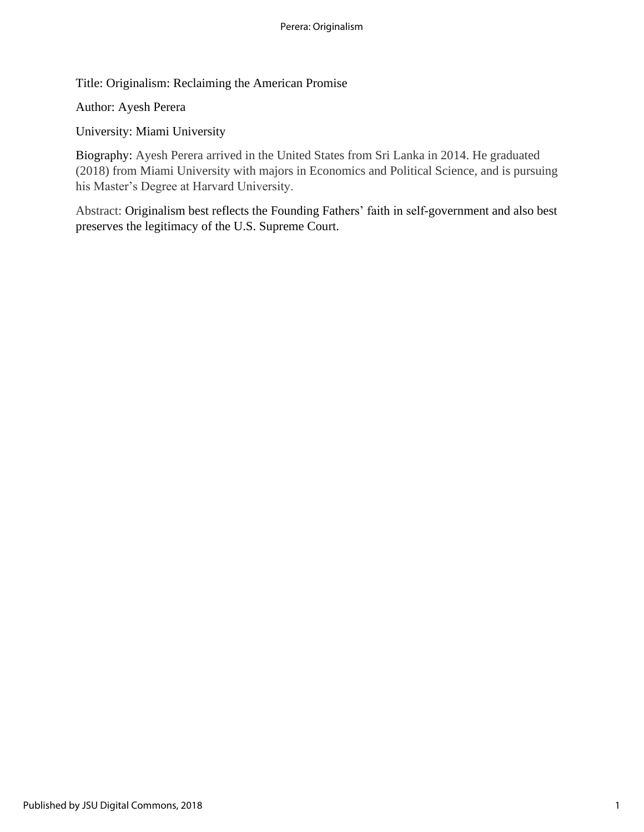Title: Originalism: Reclaiming the American Promise

Author: Ayesh Perera

University: Miami University

Biography: Ayesh Perera arrived in the United States from Sri Lanka in 2014. He graduated (2018) from Miami University with majors in Economics and Political Science, and is pursuing his Master's Degree at Harvard University.

Abstract: Originalism best reflects the Founding Fathers' faith in self-government and also best preserves the legitimacy of the U.S. Supreme Court.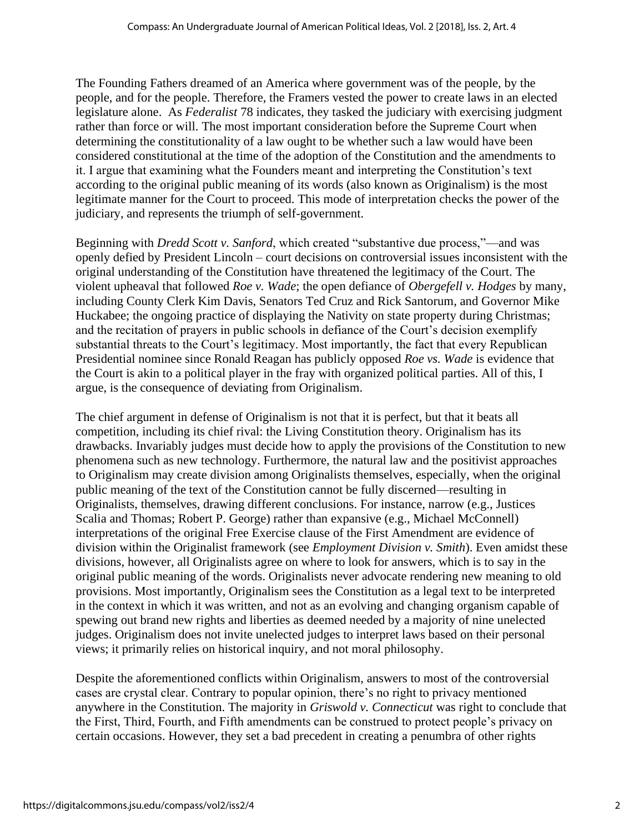The Founding Fathers dreamed of an America where government was of the people, by the people, and for the people. Therefore, the Framers vested the power to create laws in an elected legislature alone. As *Federalist* 78 indicates, they tasked the judiciary with exercising judgment rather than force or will. The most important consideration before the Supreme Court when determining the constitutionality of a law ought to be whether such a law would have been considered constitutional at the time of the adoption of the Constitution and the amendments to it. I argue that examining what the Founders meant and interpreting the Constitution's text according to the original public meaning of its words (also known as Originalism) is the most legitimate manner for the Court to proceed. This mode of interpretation checks the power of the judiciary, and represents the triumph of self-government.

Beginning with *Dredd Scott v. Sanford*, which created "substantive due process,"—and was openly defied by President Lincoln – court decisions on controversial issues inconsistent with the original understanding of the Constitution have threatened the legitimacy of the Court. The violent upheaval that followed *Roe v. Wade*; the open defiance of *Obergefell v. Hodges* by many, including County Clerk Kim Davis, Senators Ted Cruz and Rick Santorum, and Governor Mike Huckabee; the ongoing practice of displaying the Nativity on state property during Christmas; and the recitation of prayers in public schools in defiance of the Court's decision exemplify substantial threats to the Court's legitimacy. Most importantly, the fact that every Republican Presidential nominee since Ronald Reagan has publicly opposed *Roe vs. Wade* is evidence that the Court is akin to a political player in the fray with organized political parties. All of this, I argue, is the consequence of deviating from Originalism.

The chief argument in defense of Originalism is not that it is perfect, but that it beats all competition, including its chief rival: the Living Constitution theory. Originalism has its drawbacks. Invariably judges must decide how to apply the provisions of the Constitution to new phenomena such as new technology. Furthermore, the natural law and the positivist approaches to Originalism may create division among Originalists themselves, especially, when the original public meaning of the text of the Constitution cannot be fully discerned—resulting in Originalists, themselves, drawing different conclusions. For instance, narrow (e.g., Justices Scalia and Thomas; Robert P. George) rather than expansive (e.g., Michael McConnell) interpretations of the original Free Exercise clause of the First Amendment are evidence of division within the Originalist framework (see *Employment Division v. Smith*). Even amidst these divisions, however, all Originalists agree on where to look for answers, which is to say in the original public meaning of the words. Originalists never advocate rendering new meaning to old provisions. Most importantly, Originalism sees the Constitution as a legal text to be interpreted in the context in which it was written, and not as an evolving and changing organism capable of spewing out brand new rights and liberties as deemed needed by a majority of nine unelected judges. Originalism does not invite unelected judges to interpret laws based on their personal views; it primarily relies on historical inquiry, and not moral philosophy.

Despite the aforementioned conflicts within Originalism, answers to most of the controversial cases are crystal clear. Contrary to popular opinion, there's no right to privacy mentioned anywhere in the Constitution. The majority in *Griswold v. Connecticut* was right to conclude that the First, Third, Fourth, and Fifth amendments can be construed to protect people's privacy on certain occasions. However, they set a bad precedent in creating a penumbra of other rights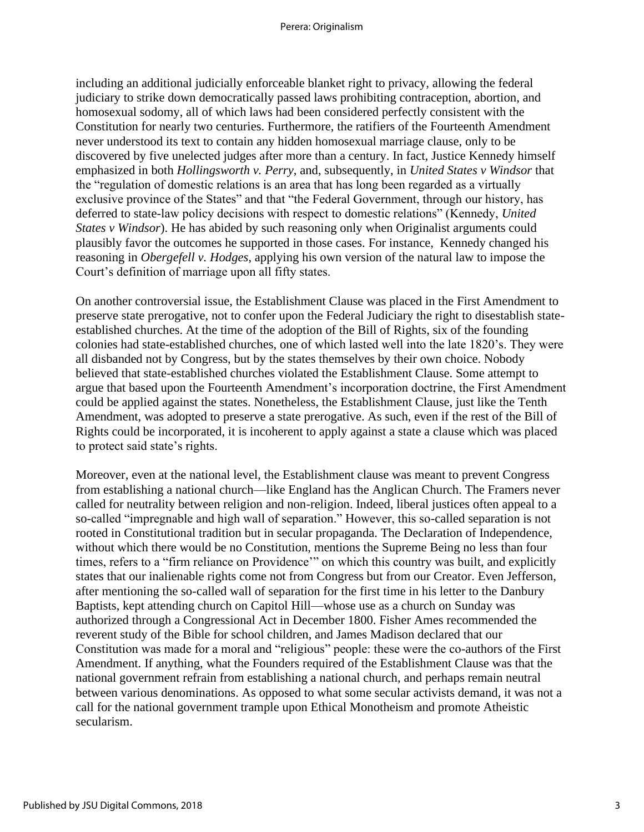including an additional judicially enforceable blanket right to privacy, allowing the federal judiciary to strike down democratically passed laws prohibiting contraception, abortion, and homosexual sodomy, all of which laws had been considered perfectly consistent with the Constitution for nearly two centuries. Furthermore, the ratifiers of the Fourteenth Amendment never understood its text to contain any hidden homosexual marriage clause, only to be discovered by five unelected judges after more than a century. In fact, Justice Kennedy himself emphasized in both *Hollingsworth v. Perry*, and, subsequently, in *United States v Windsor* that the "regulation of domestic relations is an area that has long been regarded as a virtually exclusive province of the States" and that "the Federal Government, through our history, has deferred to state-law policy decisions with respect to domestic relations" (Kennedy, *United States v Windsor*). He has abided by such reasoning only when Originalist arguments could plausibly favor the outcomes he supported in those cases. For instance, Kennedy changed his reasoning in *Obergefell v. Hodges*, applying his own version of the natural law to impose the Court's definition of marriage upon all fifty states.

On another controversial issue, the Establishment Clause was placed in the First Amendment to preserve state prerogative, not to confer upon the Federal Judiciary the right to disestablish stateestablished churches. At the time of the adoption of the Bill of Rights, six of the founding colonies had state-established churches, one of which lasted well into the late 1820's. They were all disbanded not by Congress, but by the states themselves by their own choice. Nobody believed that state-established churches violated the Establishment Clause. Some attempt to argue that based upon the Fourteenth Amendment's incorporation doctrine, the First Amendment could be applied against the states. Nonetheless, the Establishment Clause, just like the Tenth Amendment, was adopted to preserve a state prerogative. As such, even if the rest of the Bill of Rights could be incorporated, it is incoherent to apply against a state a clause which was placed to protect said state's rights.

Moreover, even at the national level, the Establishment clause was meant to prevent Congress from establishing a national church—like England has the Anglican Church. The Framers never called for neutrality between religion and non-religion. Indeed, liberal justices often appeal to a so-called "impregnable and high wall of separation." However, this so-called separation is not rooted in Constitutional tradition but in secular propaganda. The Declaration of Independence, without which there would be no Constitution, mentions the Supreme Being no less than four times, refers to a "firm reliance on Providence'" on which this country was built, and explicitly states that our inalienable rights come not from Congress but from our Creator. Even Jefferson, after mentioning the so-called wall of separation for the first time in his letter to the Danbury Baptists, kept attending church on Capitol Hill—whose use as a church on Sunday was authorized through a Congressional Act in December 1800. Fisher Ames recommended the reverent study of the Bible for school children, and James Madison declared that our Constitution was made for a moral and "religious" people: these were the co-authors of the First Amendment. If anything, what the Founders required of the Establishment Clause was that the national government refrain from establishing a national church, and perhaps remain neutral between various denominations. As opposed to what some secular activists demand, it was not a call for the national government trample upon Ethical Monotheism and promote Atheistic secularism.